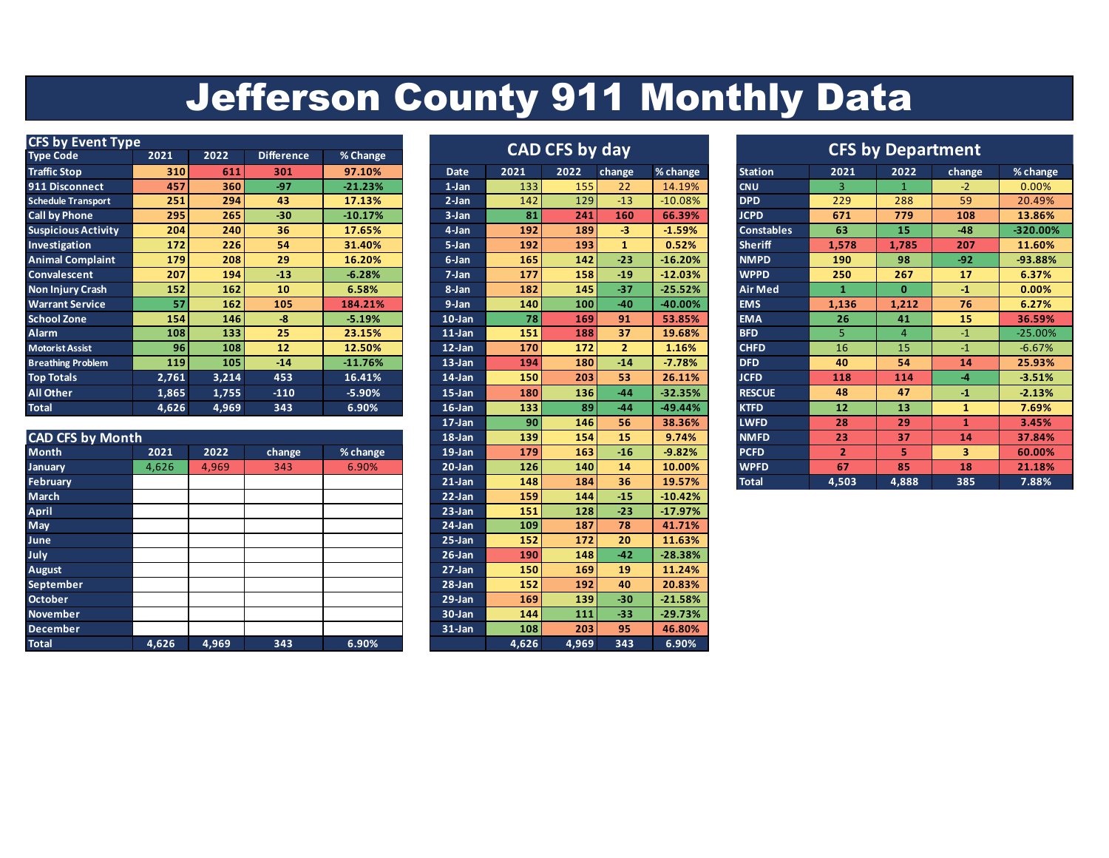## Jefferson County 911 Monthly Data

| <b>CFS by Event Type</b>   |       |                  |                   | <b>CAD CFS by day</b> |           |      |      |                | <b>CFS by Department</b> |                   |       |          |        |            |
|----------------------------|-------|------------------|-------------------|-----------------------|-----------|------|------|----------------|--------------------------|-------------------|-------|----------|--------|------------|
| <b>Type Code</b>           | 2021  | 2022             | <b>Difference</b> | % Change              |           |      |      |                |                          |                   |       |          |        |            |
| <b>Traffic Stop</b>        | 310   | 611              | 301               | 97.10%                | Date      | 2021 | 2022 | change         | % change                 | <b>Station</b>    | 2021  | 2022     | change | % change   |
| 911 Disconnect             | 457   | 360              | $-97$             | $-21.23%$             | $1$ -Jan  | 133  | 155  | 22             | 14.19%                   | <b>CNU</b>        | з     |          | $-2$   | 0.00%      |
| <b>Schedule Transport</b>  | 251   | 294 <sub>1</sub> | 43                | 17.13%                | $2-Ian$   | 142  | 129  | $-13$          | $-10.08%$                | <b>DPD</b>        | 229   | 288      | 59     | 20.49%     |
| <b>Call by Phone</b>       | 295   | 265              | $-30$             | $-10.17%$             | $3-Jan$   | 81   | 241  | 160            | 66.39%                   | <b>JCPD</b>       | 671   | 779      | 108    | 13.86%     |
| <b>Suspicious Activity</b> | 204   | 240              | 36                | 17.65%                | 4-Jan     | 192  | 189  | $-3$           | $-1.59%$                 | <b>Constables</b> | 63    | 15       | $-48$  | $-320.00%$ |
| Investigation              | 172   | 226              | 54                | 31.40%                | $5$ -Jan  | 192  | 193  |                | 0.52%                    | <b>Sheriff</b>    | 1,578 | 1,785    | 207    | 11.60%     |
| <b>Animal Complaint</b>    | 179   | 208              | 29                | 16.20%                | 6-Jan     | 165  | 142  | $-23$          | $-16.20%$                | <b>NMPD</b>       | 190   | 98       | $-92$  | -93.88%    |
| Convalescent               | 207   | 194              | $-13$             | $-6.28%$              | 7-Jan     | 177  | 158  | $-19$          | $-12.03%$                | <b>WPPD</b>       | 250   | 267      | 17     | 6.37%      |
| <b>Non Injury Crash</b>    | 152   | 162              | 10                | 6.58%                 | 8-Jan     | 182  | 145  | $-37$          | $-25.52%$                | Air Med           |       | $\bf{0}$ | -1     | 0.00%      |
| <b>Warrant Service</b>     | 57    | 162              | 105               | 184.21%               | 9-Jan     | 140  | 100  | $-40$          | $-40.00%$                | <b>EMS</b>        | 1,136 | 1,212    | 76     | 6.27%      |
| <b>School Zone</b>         | 154   | <b>146</b>       | $-8$              | $-5.19%$              | $10$ -Jan | 78   | 169  | 91             | 53.85%                   | <b>EMA</b>        | 26    | 41       | 15     | 36.59%     |
| Alarm                      | 108   | 133              | 25                | 23.15%                | $11$ -Jan | 151  | 188  | 37             | 19.68%                   | <b>BFD</b>        |       | д        | -1     | $-25.00%$  |
| <b>Motorist Assist</b>     | 96    | 108              | 12                | 12.50%                | 12-Jan    | 170  | 172  | $\overline{2}$ | 1.16%                    | <b>CHFD</b>       | 16    | 15       | -1     | $-6.67%$   |
| <b>Breathing Problem</b>   | 119   | 105              | $-14$             | $-11.76%$             | $13$ -Jan | 194  | 180  | $-14$          | $-7.78%$                 | <b>DFD</b>        | 40    | 54       | 14     | 25.93%     |
| <b>Top Totals</b>          | 2,761 | 3,214            | 453               | 16.41%                | $14$ -Jan | 150  | 203  | 53             | 26.11%                   | <b>JCFD</b>       | 118   | 114      | -4     | $-3.51%$   |
| All Other                  | 1,865 | 1,755            | $-110$            | $-5.90%$              | $15$ -Jan | 180  | 136  | $-44$          | $-32.35%$                | <b>RESCUE</b>     | 48    | 47       | $-1$   | $-2.13%$   |
| <b>Total</b>               | 4,626 | 4,969            | 343               | 6.90%                 | $16$ -Jan | 133  | 89   | $-44$          | $-49.44%$                | <b>KTFD</b>       | 12    | 13       |        | 7.69%      |

|                         |       |       |        |          | ____       | __    |            |       | - - - - - - | -----        |       |       |     |        |
|-------------------------|-------|-------|--------|----------|------------|-------|------------|-------|-------------|--------------|-------|-------|-----|--------|
| <b>CAD CFS by Month</b> |       |       |        |          | $18$ -Jan  | 139   | 154        | 15    | 9.74%       | <b>NMFD</b>  | 23    | 37    | 14  | 37.84% |
| <b>Month</b>            | 2021  | 2022  | change | % change | $19$ -Jan  | 179   | 163        | $-16$ | $-9.82%$    | <b>PCFD</b>  | 2     |       | 3   | 60.00% |
| January                 | 4,626 | 4,969 | 343    | 6.90%    | $20 - Jan$ | 126   | 140        | 14    | 10.00%      | <b>WPFD</b>  | 67    | 85    | 18  | 21.18% |
| <b>February</b>         |       |       |        |          | $21$ -Jan  | 148   | 184        | 36    | 19.57%      | <b>Total</b> | 4,503 | 4,888 | 385 | 7.88%  |
| March                   |       |       |        |          | $22$ -Jan  | 159   | 144        | $-15$ | $-10.42%$   |              |       |       |     |        |
| April                   |       |       |        |          | $23$ -Jan  | 151   | 128        | $-23$ | $-17.97%$   |              |       |       |     |        |
| May                     |       |       |        |          | $24$ -Jan  | 109   | 187        | 78    | 41.71%      |              |       |       |     |        |
| June                    |       |       |        |          | $25 - Jan$ | 152   | 172        | 20    | 11.63%      |              |       |       |     |        |
| July                    |       |       |        |          | $26$ -Jan  | 190   | <b>148</b> | $-42$ | $-28.38%$   |              |       |       |     |        |
| August                  |       |       |        |          | $27 - Jan$ | 150   | 169        | 19    | 11.24%      |              |       |       |     |        |
| September               |       |       |        |          | $28$ -Jan  | 152   | 192        | 40    | 20.83%      |              |       |       |     |        |
| <b>October</b>          |       |       |        |          | $29$ -Jan  | 169   | 139        | $-30$ | $-21.58%$   |              |       |       |     |        |
| <b>November</b>         |       |       |        |          | 30-Jan     | 144   | $111$      | $-33$ | $-29.73%$   |              |       |       |     |        |
| <b>December</b>         |       |       |        |          | $31$ -Jan  | 108   | 203        | 95    | 46.80%      |              |       |       |     |        |
| <b>Total</b>            | 4,626 | 4,969 | 343    | 6.90%    |            | 4,626 | 4,969      | 343   | 6.90%       |              |       |       |     |        |

| CAD CFS by day |       |       |                |           |  |  |  |  |  |  |  |  |
|----------------|-------|-------|----------------|-----------|--|--|--|--|--|--|--|--|
| <b>Date</b>    | 2021  | 2022  | change         | % change  |  |  |  |  |  |  |  |  |
| $1$ -Jan       | 133   | 155   | 22             | 14.19%    |  |  |  |  |  |  |  |  |
| $2-Jan$        | 142   | 129   | $-13$          | $-10.08%$ |  |  |  |  |  |  |  |  |
| $3 - Jan$      | 81    | 241   | 160            | 66.39%    |  |  |  |  |  |  |  |  |
| 4-Jan          | 192   | 189   | $-3$           | $-1.59%$  |  |  |  |  |  |  |  |  |
| 5-Jan          | 192   | 193   | 1              | 0.52%     |  |  |  |  |  |  |  |  |
| 6-Jan          | 165   | 142   | $-23$          | $-16.20%$ |  |  |  |  |  |  |  |  |
| $7$ -Jan       | 177   | 158   | $-19$          | $-12.03%$ |  |  |  |  |  |  |  |  |
| 8-Jan          | 182   | 145   | $-37$          | $-25.52%$ |  |  |  |  |  |  |  |  |
| 9-Jan          | 140   | 100   | $-40$          | -40.00%   |  |  |  |  |  |  |  |  |
| $10$ -Jan      | 78    | 169   | 91             | 53.85%    |  |  |  |  |  |  |  |  |
| $11$ -Jan      | 151   | 188   | 37             | 19.68%    |  |  |  |  |  |  |  |  |
| $12$ -Jan      | 170   | 172   | $\overline{2}$ | 1.16%     |  |  |  |  |  |  |  |  |
| $13$ -Jan      | 194   | 180   | $-14$          | $-7.78%$  |  |  |  |  |  |  |  |  |
| 14-Jan         | 150   | 203   | 53             | 26.11%    |  |  |  |  |  |  |  |  |
| $15$ -Jan      | 180   | 136   | $-44$          | $-32.35%$ |  |  |  |  |  |  |  |  |
| $16$ -Jan      | 133   | 89    | $-44$          | -49.44%   |  |  |  |  |  |  |  |  |
| 17-Jan         | 90    | 146   | 56             | 38.36%    |  |  |  |  |  |  |  |  |
| $18$ -Jan      | 139   | 154   | 15             | 9.74%     |  |  |  |  |  |  |  |  |
| $19$ -Jan      | 179   | 163   | $-16$          | $-9.82%$  |  |  |  |  |  |  |  |  |
| $20$ -Jan      | 126   | 140   | 14             | 10.00%    |  |  |  |  |  |  |  |  |
| $21$ -Jan      | 148   | 184   | 36             | 19.57%    |  |  |  |  |  |  |  |  |
| $22$ -Jan      | 159   | 144   | $-15$          | $-10.42%$ |  |  |  |  |  |  |  |  |
| $23$ -Jan      | 151   | 128   | $-23$          | $-17.97%$ |  |  |  |  |  |  |  |  |
| $24$ -Jan      | 109   | 187   | 78             | 41.71%    |  |  |  |  |  |  |  |  |
| $25 - Jan$     | 152   | 172   | 20             | 11.63%    |  |  |  |  |  |  |  |  |
| $26$ -Jan      | 190   | 148   | $-42$          | $-28.38%$ |  |  |  |  |  |  |  |  |
| $27 - Jan$     | 150   | 169   | 19             | 11.24%    |  |  |  |  |  |  |  |  |
| $28 - Jan$     | 152   | 192   | 40             | 20.83%    |  |  |  |  |  |  |  |  |
| $29$ -Jan      | 169   | 139   | $-30$          | $-21.58%$ |  |  |  |  |  |  |  |  |
| 30-Jan         | 144   | 111   | $-33$          | $-29.73%$ |  |  |  |  |  |  |  |  |
| $31$ -Jan      | 108   | 203   | 95             | 46.80%    |  |  |  |  |  |  |  |  |
|                | 4.626 | 4.969 | 343            | 6.90%     |  |  |  |  |  |  |  |  |

|                       |      | <b>CAD CFS by day</b> |                |           |                   |                       |                | <b>CFS by Department</b> |
|-----------------------|------|-----------------------|----------------|-----------|-------------------|-----------------------|----------------|--------------------------|
| <b>Date</b>           | 2021 | 2022                  | change         | % change  | <b>Station</b>    | 2021                  | 2022           | change                   |
| 1-Jan                 | 133  | 155                   | 22             | 14.19%    | <b>CNU</b>        | 3.                    | 1              | $-2$                     |
| $2-Jan$               | 142  | 129                   | $-13$          | $-10.08%$ | <b>DPD</b>        | 229                   | 288            | 59                       |
| 3-Jan                 | 81   | 241                   | 160            | 66.39%    | <b>JCPD</b>       | 671                   | 779            | 108                      |
| 4-Jan                 | 192  | 189                   | $-3$           | $-1.59%$  | <b>Constables</b> | 63                    | 15             | $-48$                    |
| $5$ -Jan              | 192  | 193                   | 1              | 0.52%     | <b>Sheriff</b>    | 1,578                 | 1,785          | 207                      |
| 6-Jan                 | 165  | 142                   | $-23$          | $-16.20%$ | <b>NMPD</b>       | 190                   | 98             | $-92$                    |
| $7-Jan$               | 177  | 158                   | $-19$          | $-12.03%$ | <b>WPPD</b>       | 250                   | 267            | 17                       |
| 8-Jan                 | 182  | 145                   | $-37$          | $-25.52%$ | <b>Air Med</b>    | $\mathbf{1}$          | $\mathbf{0}$   | $-1$                     |
| 9-Jan                 | 140  | 100                   | $-40$          | $-40.00%$ | <b>EMS</b>        | 1,136                 | 1,212          | 76                       |
| $10-Ian$              | 78   | 169                   | 91             | 53.85%    | <b>EMA</b>        | 26                    | 41             | 15                       |
| 11-Jan                | 151  | 188                   | 37             | 19.68%    | <b>BFD</b>        | 5.                    | $\overline{4}$ | $-1$                     |
| 12-Jan                | 170  | 172                   | $\overline{2}$ | 1.16%     | <b>CHFD</b>       | 16                    | 15             | $-1$                     |
| $13$ -Jan             | 194  | 180                   | $-14$          | $-7.78%$  | <b>DFD</b>        | 40                    | 54             | 14                       |
| 14-Jan                | 150  | 203                   | 53             | 26.11%    | <b>JCFD</b>       | 118                   | 114            | $-4$                     |
| $15$ -Jan             | 180  | 136                   | $-44$          | $-32.35%$ | <b>RESCUE</b>     | 48                    | 47             | $-1$                     |
| $16$ -Jan             | 133  | 89                    | $-44$          | -49.44%   | <b>KTFD</b>       | 12                    | 13             | $\mathbf{1}$             |
| $17$ -Jan             | 90   | 146                   | 56             | 38.36%    | <b>LWFD</b>       | 28                    | 29             | $\mathbf{1}$             |
| $18$ -Jan             | 139  | 154                   | 15             | 9.74%     | <b>NMFD</b>       | 23                    | 37             | 14                       |
| 19-Jan                | 179  | 163                   | $-16$          | $-9.82%$  | <b>PCFD</b>       | $\overline{2}$        | 5              | 3                        |
| $20 - \overline{Jan}$ | 126  | 140                   | 14             | 10.00%    | <b>WPFD</b>       | 67                    | 85             | 18                       |
| $21$ -Jan             | 148  | 184                   | 36             | 19.57%    |                   | 4,503<br><b>Total</b> | 4,888          | 385                      |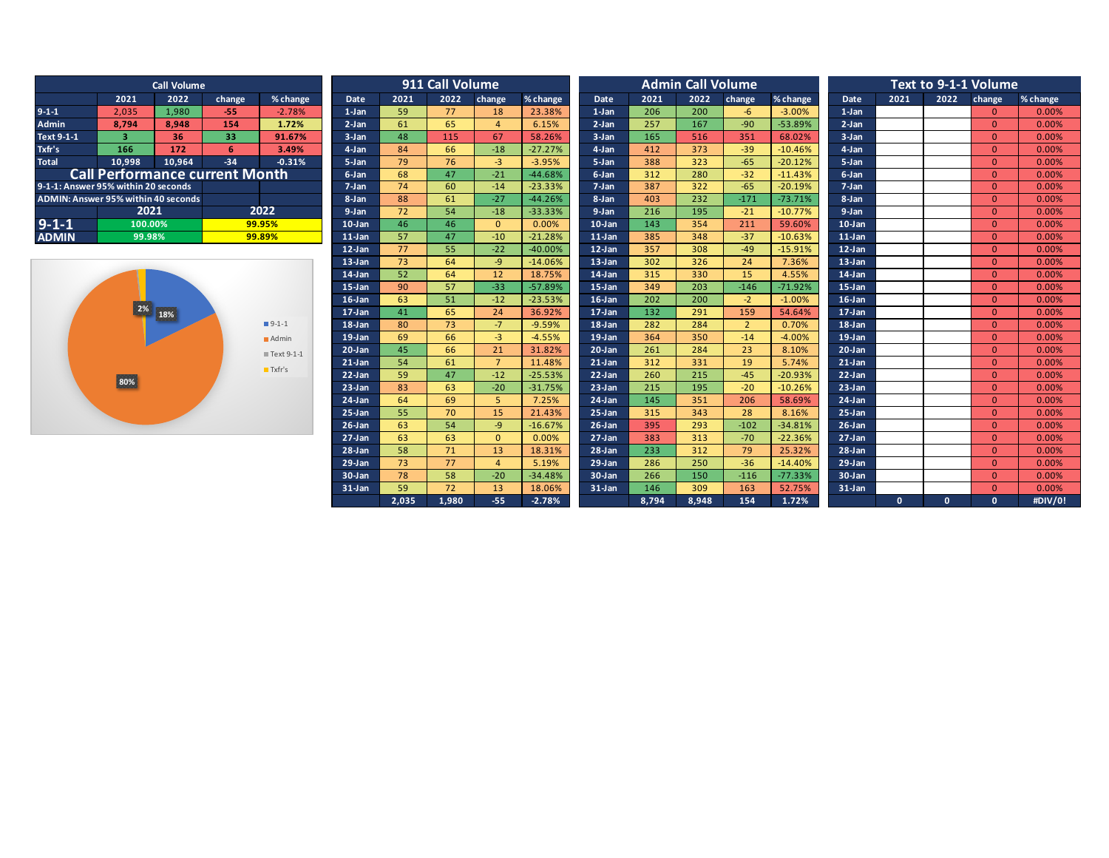| <b>Call Volume</b>                  |                                       |                 |        |          |  |  |  |  |  |  |  |
|-------------------------------------|---------------------------------------|-----------------|--------|----------|--|--|--|--|--|--|--|
|                                     | 2021                                  | 2022            | change | % change |  |  |  |  |  |  |  |
| $9 - 1 - 1$                         | 2,035                                 | 1,980           | $-55$  | $-2.78%$ |  |  |  |  |  |  |  |
| <b>Admin</b>                        | 8,794                                 | 8.948           | 154    | 1.72%    |  |  |  |  |  |  |  |
| Text 9-1-1                          | 3                                     | 36 <sub>1</sub> | 33     | 91.67%   |  |  |  |  |  |  |  |
| Txfr's                              | 166                                   | 172             | 6      | 3.49%    |  |  |  |  |  |  |  |
| <b>Total</b>                        | 10,998                                | 10,964          | $-34$  | $-0.31%$ |  |  |  |  |  |  |  |
|                                     | <b>Call Performance current Month</b> |                 |        |          |  |  |  |  |  |  |  |
| 9-1-1: Answer 95% within 20 seconds |                                       |                 |        |          |  |  |  |  |  |  |  |
| ADMIN: Answer 95% within 40 seconds |                                       |                 |        |          |  |  |  |  |  |  |  |
|                                     | 2021                                  |                 |        | 2022     |  |  |  |  |  |  |  |
| $9 - 1 - 1$                         | 100.00%                               |                 | 99.95% |          |  |  |  |  |  |  |  |
| <b>ADMIN</b>                        | 99.98%                                |                 | 99.89% |          |  |  |  |  |  |  |  |



|                                     |                | <b>Call Volume</b> |                                       |                       |            |             | 911 Call Volume |                |                    |             |              | <b>Admin Call Volume</b> |                |                 |             |              | Text to 9-1-1 Volume |                          |                  |
|-------------------------------------|----------------|--------------------|---------------------------------------|-----------------------|------------|-------------|-----------------|----------------|--------------------|-------------|--------------|--------------------------|----------------|-----------------|-------------|--------------|----------------------|--------------------------|------------------|
|                                     | 2021           | 2022               | change                                | % change              | Date       | 2021        | 2022            | change         | % change           | <b>Date</b> | 2021         | 2022                     | change         | % change        | <b>Date</b> | 2021         | 2022                 | change                   | % change         |
| $9-1-1$                             | 2,035          | 1,980              | $-55$                                 | $-2.78%$              | $1-Jan$    | 59          | 77              | 18             | 23.38%             | $1-Jan$     | 206          | 200                      | $-6$           | $-3.00%$        | $1-Jan$     |              |                      | $\Omega$                 | 0.00%            |
| <b>Admin</b>                        | 8.794          | 8.948              | 154                                   | 1.72%                 | $2-Jan$    | 61          | 65              | $\overline{4}$ | 6.15%              | $2-Jan$     | 257          | 167                      | $-90$          | $-53.89%$       | $2-Jan$     |              |                      | $\Omega$                 | 0.00%            |
| Text 9-1-1                          | $\overline{3}$ | 36                 | 33                                    | 91.67%                | 3-Jan      | 48          | 115             | 67             | 58.26%             | 3-Jan       | 165          | 516                      | 351            | 68.02%          | $3-Jan$     |              |                      | $\Omega$                 | 0.00%            |
| Txfr's                              | 166            | 172                | 6                                     | 3.49%                 | 4-Jan      | 84          | 66              | $-18$          | $-27.27%$          | 4-Jan       | 412          | 373                      | $-39$          | $-10.46%$       | 4-Jan       |              |                      | $\Omega$                 | 0.00%            |
| <b>Total</b>                        | 10,998         | 10,964             | $-34$                                 | $-0.31%$              | 5-Jan      | 79          | 76              | $-3$           | $-3.95%$           | 5-Jan       | 388          | 323                      | $-65$          | $-20.12%$       | 5-Jan       |              |                      | $\Omega$                 | 0.00%            |
|                                     |                |                    | <b>Call Performance current Month</b> |                       | 6-Jan      | 68          | 47              | $-21$          | $-44.68%$          | 6-Jan       | 312          | 280                      | $-32$          | $-11.43%$       | 6-Jan       |              |                      | $\Omega$                 | 0.00%            |
| 9-1-1: Answer 95% within 20 seconds |                |                    |                                       |                       | 7-Jan      | 74          | 60              | $-14$          | $-23.33%$          | $7-Jan$     | 387          | 322                      | $-65$          | $-20.19%$       | $7-Jan$     |              |                      | $\Omega$                 | 0.00%            |
| ADMIN: Answer 95% within 40 seconds |                |                    |                                       |                       | 8-Jan      | 88          | 61              | $-27$          | $-44.26%$          | 8-Jan       | 403          | 232                      | $-171$         | $-73.71%$       | 8-Jan       |              |                      | $\Omega$                 | 0.00%            |
|                                     | 2021           |                    |                                       | 2022                  | 9-Jan      | 72          | 54              | $-18$          | $-33.33%$          | 9-Jan       | 216          | 195                      | $-21$          | $-10.77%$       | $9-Jan$     |              |                      | $\Omega$                 | 0.00%            |
| $9 - 1 - 1$                         | 100.00%        |                    |                                       | 99.95%                | $10$ -Jan  | 46          | 46              | $\Omega$       | 0.00%              | $10-Jan$    | 143          | 354                      | 211            | 59.60%          | $10-Ian$    |              |                      | $\Omega$                 | 0.00%            |
| <b>ADMIN</b>                        | 99.98%         |                    |                                       | 99.89%                | $11$ -Jan  | 57          | 47              | $-10$          | $-21.28%$          | $11$ -Jan   | 385          | 348                      | $-37$          | $-10.63%$       | $11$ -Jan   |              |                      | $\Omega$                 | 0.00%            |
|                                     |                |                    |                                       |                       | $12$ -Jan  | 77          | 55              | $-22$          | $-40.00%$          | $12-Jan$    | 357          | 308                      | $-49$          | $-15.91%$       | $12$ -Jan   |              |                      | $\Omega$                 | 0.00%            |
|                                     |                |                    |                                       |                       | $13$ -Jan  | 73          | 64              | $-9$           | $-14.06%$          | $13$ -Jan   | 302          | 326                      | 24             | 7.36%           | $13$ -Jan   |              |                      | $\Omega$                 | 0.00%            |
|                                     |                |                    |                                       |                       | $14$ -Jan  | 52          | 64              | 12             | 18.75%             | $14$ -Jan   | 315          | 330                      | 15             | 4.55%           | 14-Jan      |              |                      | $\Omega$                 | 0.00%            |
|                                     |                |                    | $15$ -Jan                             | 90                    | 57         | $-33$       | $-57.89%$       | $15$ -Jan      | 349                | 203         | $-146$       | $-71.92%$                | $15-Ian$       |                 |             | $\Omega$     | 0.00%                |                          |                  |
|                                     |                |                    |                                       |                       | $16$ -Jan  | 63          | 51              | $-12$          | $-23.53%$          | $16$ -Jan   | 202          | 200                      | $-2$           | $-1.00%$        | $16$ -Jan   |              |                      | $\Omega$                 | 0.00%            |
|                                     |                | 2% 18%             |                                       |                       | $17$ -Jan  | 41          | 65              | 24             | 36.92%             | $17$ -Jan   | 132          | 291                      | 159            | 54.64%          | $17-Ian$    |              |                      | $\Omega$                 | 0.00%            |
|                                     |                |                    |                                       | $9-1-1$               | $18$ -Jan  | 80          | 73              | $-7$           | $-9.59%$           | $18$ -Jan   | 282          | 284                      | $\overline{2}$ | 0.70%           | 18-Jan      |              |                      | $\Omega$                 | 0.00%            |
|                                     |                |                    |                                       | Admin                 | $19$ -Jan  | 69          | 66              | $-3$           | $-4.55%$           | $19$ -Jan   | 364          | 350                      | $-14$          | $-4.00%$        | $19-Ian$    |              |                      | $\Omega$                 | 0.00%            |
|                                     |                |                    |                                       | ■ Text 9-1-1          | $20$ -Jan  | 45          | 66              | 21             | 31.82%             | $20$ -Jan   | 261          | 284                      | 23             | 8.10%           | $20 - Jan$  |              |                      | $\Omega$                 | 0.00%            |
|                                     |                |                    |                                       | $\blacksquare$ Txfr's | $21$ -Jan  | 54          | 61              | $\overline{7}$ | 11.48%             | $21$ -Jan   | 312          | 331                      | 19             | 5.74%           | $21$ -Jan   |              |                      | $\Omega$                 | 0.00%            |
|                                     | 80%            |                    |                                       |                       | $22$ -Jan  | 59          | 47              | $-12$          | $-25.53%$          | $22$ -Jan   | 260          | 215                      | $-45$          | $-20.93%$       | $22$ -Jan   |              |                      | $\Omega$                 | 0.00%            |
|                                     |                |                    |                                       |                       | $23$ -Jan  | 83          | 63              | $-20$          | $-31.75%$          | $23$ -Jan   | 215          | 195                      | $-20$          | $-10.26%$       | $23$ -Jan   |              |                      | $\Omega$                 | 0.00%            |
|                                     |                |                    |                                       |                       | $24$ -Jan  | 64          | 69              | 5              | 7.25%              | $24$ -Jan   | 145          | 351                      | 206            | 58.69%          | $24$ -Jan   |              |                      | $\Omega$                 | 0.00%            |
|                                     |                |                    |                                       |                       | $25$ -Jan  | 55          | 70              | 15             | 21.43%             | $25 - Jan$  | 315          | 343                      | 28             | 8.16%           | $25 - Jan$  |              |                      | $\Omega$                 | 0.00%            |
|                                     |                |                    |                                       |                       | $26$ -Jan  | 63          | 54              | $-9$           | $-16.67%$          | $26$ -Jan   | 395          | 293                      | $-102$         | $-34.81%$       | $26$ -Jan   |              |                      | $\Omega$                 | 0.00%            |
|                                     |                |                    |                                       |                       | $27 - Jan$ | 63          | 63              | $\overline{0}$ | 0.00%              | $27 - Jan$  | 383          | 313                      | $-70$          | $-22.36%$       | $27 - Jan$  |              |                      | $\Omega$                 | 0.00%            |
|                                     |                |                    |                                       |                       | $28 - Jan$ | 58          | 71              | 13             | 18.31%             | $28$ -Jan   | 233          | 312                      | 79             | 25.32%          | $28 - Jan$  |              |                      | $\Omega$                 | 0.00%            |
|                                     |                |                    |                                       |                       | $29$ -Jan  | 73          | 77              | $\overline{4}$ | 5.19%              | $29$ -Jan   | 286          | 250                      | $-36$          | $-14.40%$       | $29$ -Jan   |              |                      | $\mathbf{0}$             | 0.00%            |
|                                     |                |                    |                                       |                       | 30-Jan     | 78          | 58              | $-20$          | $-34.48%$          | $30-Jan$    | 266          | 150                      | $-116$         | $-77.33%$       | 30-Jan      |              |                      | $\Omega$                 | 0.00%            |
|                                     |                |                    |                                       |                       | $31$ -Jan  | 59<br>2.035 | 72<br>1,980     | 13<br>$-55$    | 18.06%<br>$-2.78%$ | $31$ -Jan   | 146<br>8,794 | 309<br>8.948             | 163<br>154     | 52.75%<br>1.72% | $31$ -Jan   | $\mathbf{0}$ | $\mathbf{0}$         | $\Omega$<br>$\mathbf{0}$ | 0.00%<br>#DIV/0! |
|                                     |                |                    |                                       |                       |            |             |                 |                |                    |             |              |                          |                |                 |             |              |                      |                          |                  |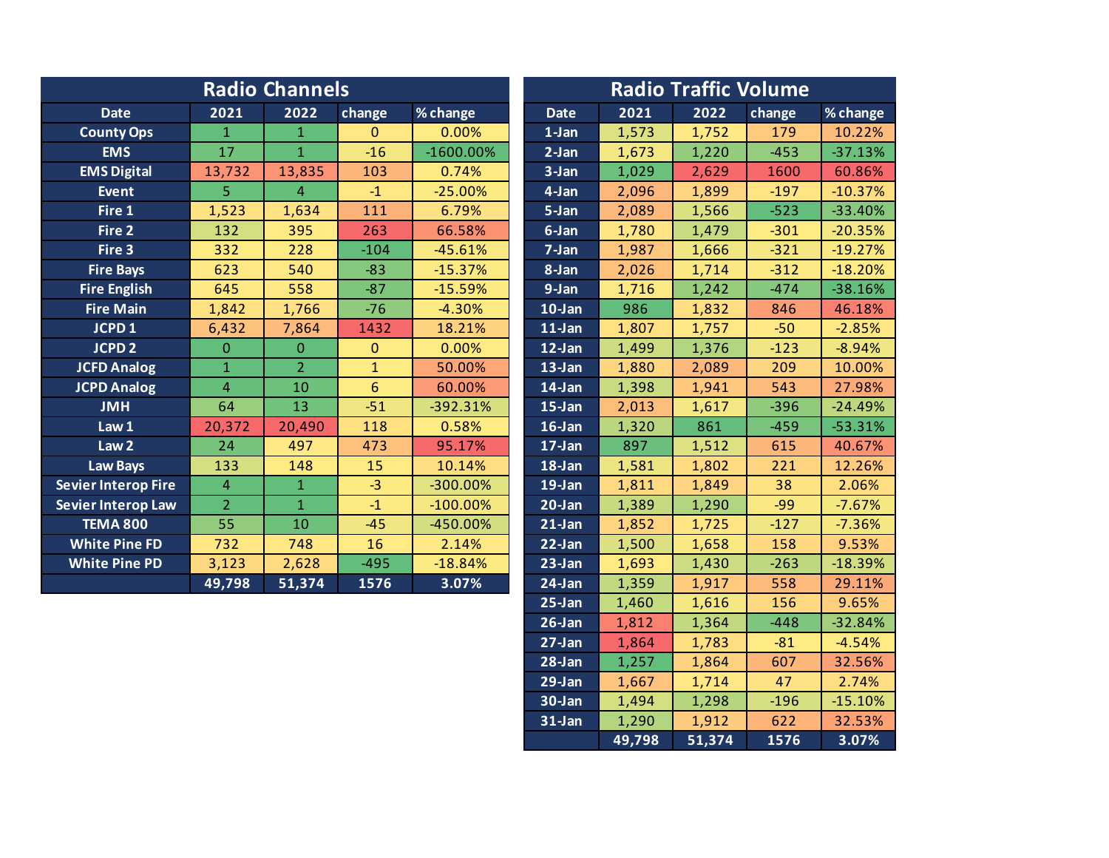|                            |                | <b>Radio Channels</b> |              | <b>Radio Traffic Volume</b> |             |       |       |        |           |  |
|----------------------------|----------------|-----------------------|--------------|-----------------------------|-------------|-------|-------|--------|-----------|--|
| <b>Date</b>                | 2021           | 2022                  | change       | % change                    | <b>Date</b> | 2021  | 2022  | change | % change  |  |
| <b>County Ops</b>          | $\mathbf{1}$   | $\mathbf{1}$          | $\mathbf{0}$ | 0.00%                       | $1-Jan$     | 1,573 | 1,752 | 179    | 10.22%    |  |
| <b>EMS</b>                 | 17             | $\mathbf{1}$          | $-16$        | $-1600.00\%$                | $2-Jan$     | 1,673 | 1,220 | $-453$ | $-37.13%$ |  |
| <b>EMS Digital</b>         | 13,732         | 13,835                | 103          | 0.74%                       | 3-Jan       | 1,029 | 2,629 | 1600   | 60.86%    |  |
| <b>Event</b>               | 5              | $\overline{4}$        | $-1$         | $-25.00%$                   | 4-Jan       | 2,096 | 1,899 | $-197$ | $-10.37%$ |  |
| Fire 1                     | 1,523          | 1,634                 | 111          | 6.79%                       | 5-Jan       | 2,089 | 1,566 | $-523$ | $-33.40%$ |  |
| Fire 2                     | 132            | 395                   | 263          | 66.58%                      | 6-Jan       | 1,780 | 1,479 | $-301$ | $-20.35%$ |  |
| Fire 3                     | 332            | 228                   | $-104$       | $-45.61%$                   | 7-Jan       | 1,987 | 1,666 | $-321$ | $-19.27%$ |  |
| <b>Fire Bays</b>           | 623            | 540                   | $-83$        | $-15.37%$                   | 8-Jan       | 2,026 | 1,714 | $-312$ | $-18.20%$ |  |
| <b>Fire English</b>        | 645            | 558                   | $-87$        | $-15.59%$                   | $9 - Jan$   | 1,716 | 1,242 | $-474$ | $-38.16%$ |  |
| <b>Fire Main</b>           | 1,842          | 1,766                 | $-76$        | $-4.30%$                    | $10$ -Jan   | 986   | 1,832 | 846    | 46.18%    |  |
| JCPD <sub>1</sub>          | 6,432          | 7,864                 | 1432         | 18.21%                      | $11$ -Jan   | 1,807 | 1,757 | $-50$  | $-2.85%$  |  |
| <b>JCPD 2</b>              | $\Omega$       | $\Omega$              | $\mathbf{0}$ | 0.00%                       | 12-Jan      | 1,499 | 1,376 | $-123$ | $-8.94%$  |  |
| <b>JCFD Analog</b>         | $\mathbf{1}$   | $\overline{2}$        | $\mathbf{1}$ | 50.00%                      | $13$ -Jan   | 1,880 | 2,089 | 209    | 10.00%    |  |
| <b>JCPD Analog</b>         | $\overline{4}$ | 10                    | 6            | 60.00%                      | 14-Jan      | 1,398 | 1,941 | 543    | 27.98%    |  |
| <b>JMH</b>                 | 64             | 13                    | $-51$        | $-392.31%$                  | $15$ -Jan   | 2,013 | 1,617 | $-396$ | $-24.49%$ |  |
| Law 1                      | 20,372         | 20,490                | 118          | 0.58%                       | $16$ -Jan   | 1,320 | 861   | $-459$ | $-53.31%$ |  |
| Law <sub>2</sub>           | 24             | 497                   | 473          | 95.17%                      | $17$ -Jan   | 897   | 1,512 | 615    | 40.67%    |  |
| <b>Law Bays</b>            | 133            | 148                   | 15           | 10.14%                      | 18-Jan      | 1,581 | 1,802 | 221    | 12.26%    |  |
| <b>Sevier Interop Fire</b> | $\overline{4}$ | $\mathbf{1}$          | $-3$         | -300.00%                    | $19$ -Jan   | 1,811 | 1,849 | 38     | 2.06%     |  |
| <b>Sevier Interop Law</b>  | 2 <sup>1</sup> | $\mathbf{1}$          | $-1$         | $-100.00\%$                 | $20$ -Jan   | 1,389 | 1,290 | $-99$  | $-7.67%$  |  |
| <b>TEMA 800</b>            | 55             | 10                    | $-45$        | -450.00%                    | $21$ -Jan   | 1,852 | 1,725 | $-127$ | $-7.36%$  |  |
| <b>White Pine FD</b>       | 732            | 748                   | 16           | 2.14%                       | $22$ -Jan   | 1,500 | 1,658 | 158    | 9.53%     |  |
| <b>White Pine PD</b>       | 3,123          | 2,628                 | $-495$       | $-18.84%$                   | $23-Jan$    | 1,693 | 1,430 | $-263$ | $-18.39%$ |  |
|                            | 49,798         | 51,374                | 1576         | 3.07%                       | $24$ -Jan   | 1,359 | 1,917 | 558    | 29.11%    |  |
|                            |                |                       |              |                             | $25 - Jan$  | 1,460 | 1,616 | 156    | 9.65%     |  |

26-Jan 1,812 1,364 -448 -32.84% **27-Jan** 1,864 1,783 -81 -4.54% **28-Jan** 1,257 1,864 607 32.56% 29-Jan 1,667 1,714 47 2.74% **30-Jan** 1,494 1,298 -196 -15.10% **31-Jan** 1,290 1,912 622 32.53%

**49,798 51,374 1576 3.07%**